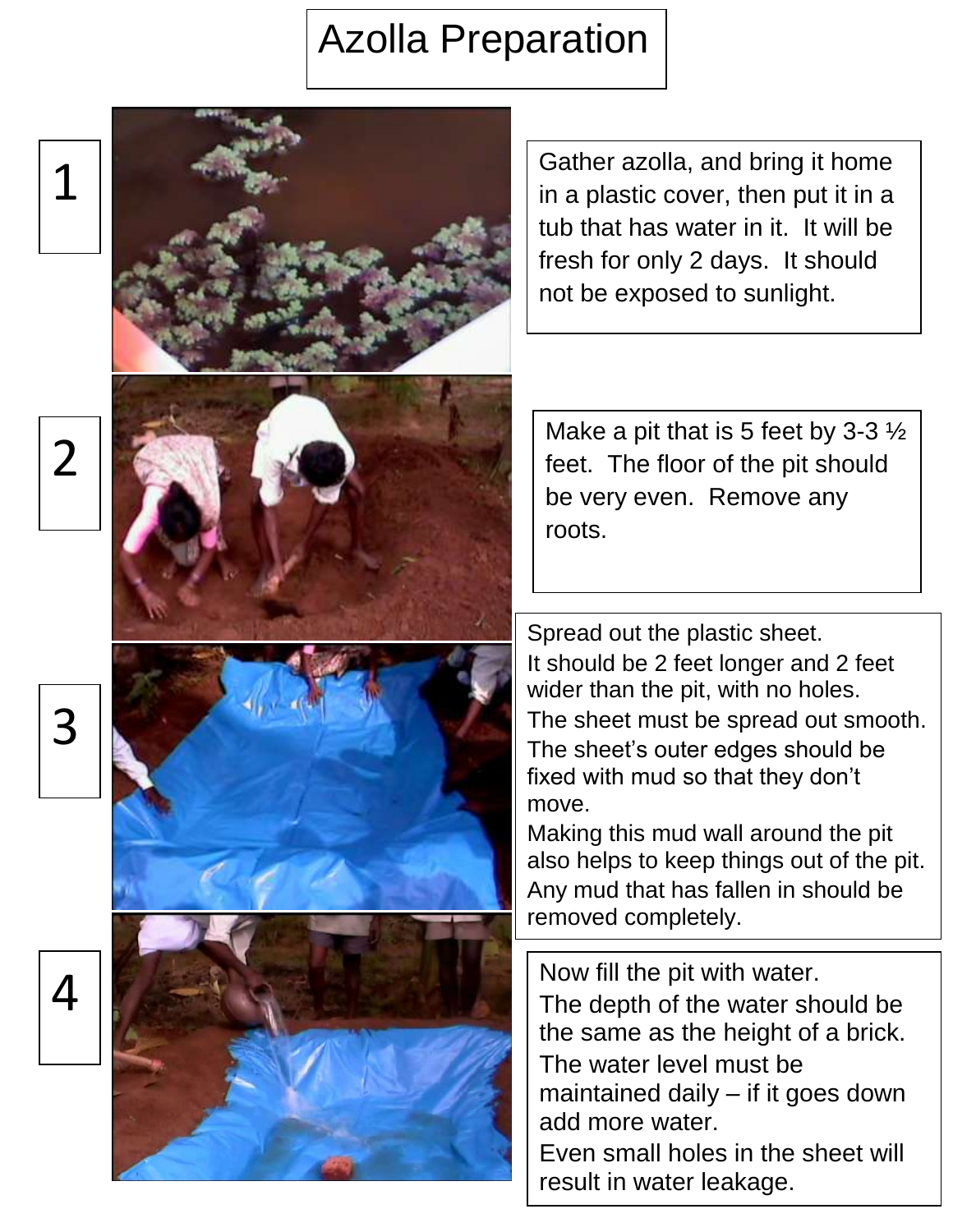## Azolla Preparation

2

1

3

4

Gather azolla, and bring it home in a plastic cover, then put it in a tub that has water in it. It will be fresh for only 2 days. It should not be exposed to sunlight.

Make a pit that is 5 feet by 3-3  $\frac{1}{2}$ feet. The floor of the pit should be very even. Remove any roots.

Spread out the plastic sheet. It should be 2 feet longer and 2 feet wider than the pit, with no holes. The sheet must be spread out smooth. The sheet's outer edges should be fixed with mud so that they don't move.

Making this mud wall around the pit also helps to keep things out of the pit. Any mud that has fallen in should be removed completely.

Now fill the pit with water. The depth of the water should be the same as the height of a brick. The water level must be maintained daily – if it goes down add more water. Even small holes in the sheet will result in water leakage.